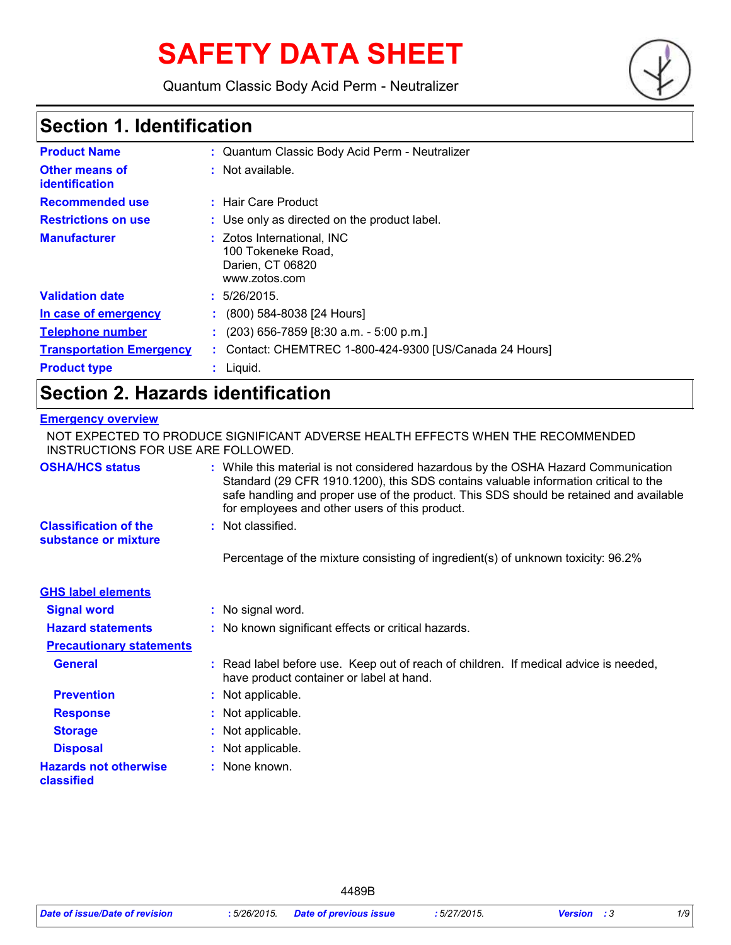# **SAFETY DATA SHEET**

Quantum Classic Body Acid Perm - Neutralizer



### **Section 1. Identification**

| <b>Product Name</b>                            | : Quantum Classic Body Acid Perm - Neutralizer                                        |
|------------------------------------------------|---------------------------------------------------------------------------------------|
| <b>Other means of</b><br><b>identification</b> | : Not available.                                                                      |
| <b>Recommended use</b>                         | : Hair Care Product                                                                   |
| <b>Restrictions on use</b>                     | : Use only as directed on the product label.                                          |
| <b>Manufacturer</b>                            | : Zotos International, INC<br>100 Tokeneke Road,<br>Darien, CT 06820<br>www.zotos.com |
| <b>Validation date</b>                         | : 5/26/2015.                                                                          |
| In case of emergency                           | $(800)$ 584-8038 [24 Hours]                                                           |
| <b>Telephone number</b>                        | $(203)$ 656-7859 [8:30 a.m. - 5:00 p.m.]                                              |
| <b>Transportation Emergency</b>                | Contact: CHEMTREC 1-800-424-9300 [US/Canada 24 Hours]                                 |
| <b>Product type</b>                            | $:$ Liquid.                                                                           |

### **Section 2. Hazards identification**

#### **Emergency overview**

| INSTRUCTIONS FOR USE ARE FOLLOWED.                   | NOT EXPECTED TO PRODUCE SIGNIFICANT ADVERSE HEALTH EFFECTS WHEN THE RECOMMENDED                                                                                                                                                                                                                                       |
|------------------------------------------------------|-----------------------------------------------------------------------------------------------------------------------------------------------------------------------------------------------------------------------------------------------------------------------------------------------------------------------|
| <b>OSHA/HCS status</b>                               | : While this material is not considered hazardous by the OSHA Hazard Communication<br>Standard (29 CFR 1910.1200), this SDS contains valuable information critical to the<br>safe handling and proper use of the product. This SDS should be retained and available<br>for employees and other users of this product. |
| <b>Classification of the</b><br>substance or mixture | : Not classified.                                                                                                                                                                                                                                                                                                     |
|                                                      | Percentage of the mixture consisting of ingredient(s) of unknown toxicity: 96.2%                                                                                                                                                                                                                                      |
| <b>GHS label elements</b>                            |                                                                                                                                                                                                                                                                                                                       |
| <b>Signal word</b>                                   | : No signal word.                                                                                                                                                                                                                                                                                                     |
| <b>Hazard statements</b>                             | : No known significant effects or critical hazards.                                                                                                                                                                                                                                                                   |
| <b>Precautionary statements</b>                      |                                                                                                                                                                                                                                                                                                                       |
| <b>General</b>                                       | : Read label before use. Keep out of reach of children. If medical advice is needed,<br>have product container or label at hand.                                                                                                                                                                                      |
| <b>Prevention</b>                                    | : Not applicable.                                                                                                                                                                                                                                                                                                     |
| <b>Response</b>                                      | : Not applicable.                                                                                                                                                                                                                                                                                                     |
| <b>Storage</b>                                       | : Not applicable.                                                                                                                                                                                                                                                                                                     |
| <b>Disposal</b>                                      | : Not applicable.                                                                                                                                                                                                                                                                                                     |
| <b>Hazards not otherwise</b><br>classified           | $:$ None known.                                                                                                                                                                                                                                                                                                       |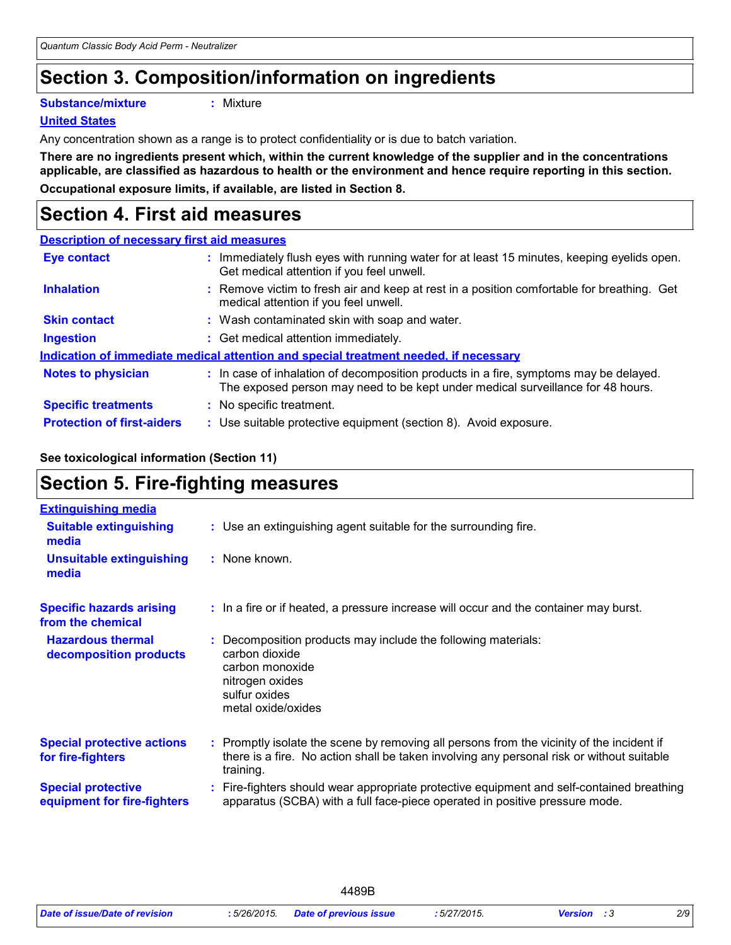## **Section 3. Composition/information on ingredients**

**Substance/mixture :**

: Mixture

#### **United States**

Any concentration shown as a range is to protect confidentiality or is due to batch variation.

**There are no ingredients present which, within the current knowledge of the supplier and in the concentrations applicable, are classified as hazardous to health or the environment and hence require reporting in this section.**

**Occupational exposure limits, if available, are listed in Section 8.**

### **Section 4. First aid measures**

| <b>Description of necessary first aid measures</b> |                                                                                                                                                                          |
|----------------------------------------------------|--------------------------------------------------------------------------------------------------------------------------------------------------------------------------|
| <b>Eye contact</b>                                 | : Immediately flush eyes with running water for at least 15 minutes, keeping eyelids open.<br>Get medical attention if you feel unwell.                                  |
| <b>Inhalation</b>                                  | : Remove victim to fresh air and keep at rest in a position comfortable for breathing. Get<br>medical attention if you feel unwell.                                      |
| <b>Skin contact</b>                                | : Wash contaminated skin with soap and water.                                                                                                                            |
| <b>Ingestion</b>                                   | : Get medical attention immediately.                                                                                                                                     |
|                                                    | Indication of immediate medical attention and special treatment needed, if necessary                                                                                     |
| <b>Notes to physician</b>                          | : In case of inhalation of decomposition products in a fire, symptoms may be delayed.<br>The exposed person may need to be kept under medical surveillance for 48 hours. |
| <b>Specific treatments</b>                         | : No specific treatment.                                                                                                                                                 |
| <b>Protection of first-aiders</b>                  | : Use suitable protective equipment (section 8). Avoid exposure.                                                                                                         |

#### **See toxicological information (Section 11)**

### **Section 5. Fire-fighting measures**

| <b>Extinguishing media</b>                               |                                                                                                                                                                                                     |
|----------------------------------------------------------|-----------------------------------------------------------------------------------------------------------------------------------------------------------------------------------------------------|
| <b>Suitable extinguishing</b><br>media                   | : Use an extinguishing agent suitable for the surrounding fire.                                                                                                                                     |
| <b>Unsuitable extinguishing</b><br>media                 | : None known.                                                                                                                                                                                       |
| <b>Specific hazards arising</b><br>from the chemical     | : In a fire or if heated, a pressure increase will occur and the container may burst.                                                                                                               |
| <b>Hazardous thermal</b><br>decomposition products       | Decomposition products may include the following materials:<br>carbon dioxide<br>carbon monoxide<br>nitrogen oxides<br>sulfur oxides<br>metal oxide/oxides                                          |
| <b>Special protective actions</b><br>for fire-fighters   | : Promptly isolate the scene by removing all persons from the vicinity of the incident if<br>there is a fire. No action shall be taken involving any personal risk or without suitable<br>training. |
| <b>Special protective</b><br>equipment for fire-fighters | Fire-fighters should wear appropriate protective equipment and self-contained breathing<br>apparatus (SCBA) with a full face-piece operated in positive pressure mode.                              |

|                                |                | 4489B                         |             |                    |     |
|--------------------------------|----------------|-------------------------------|-------------|--------------------|-----|
| Date of issue/Date of revision | $:5/26/2015$ . | <b>Date of previous issue</b> | :5/27/2015. | <b>Version</b> : 3 | 2/9 |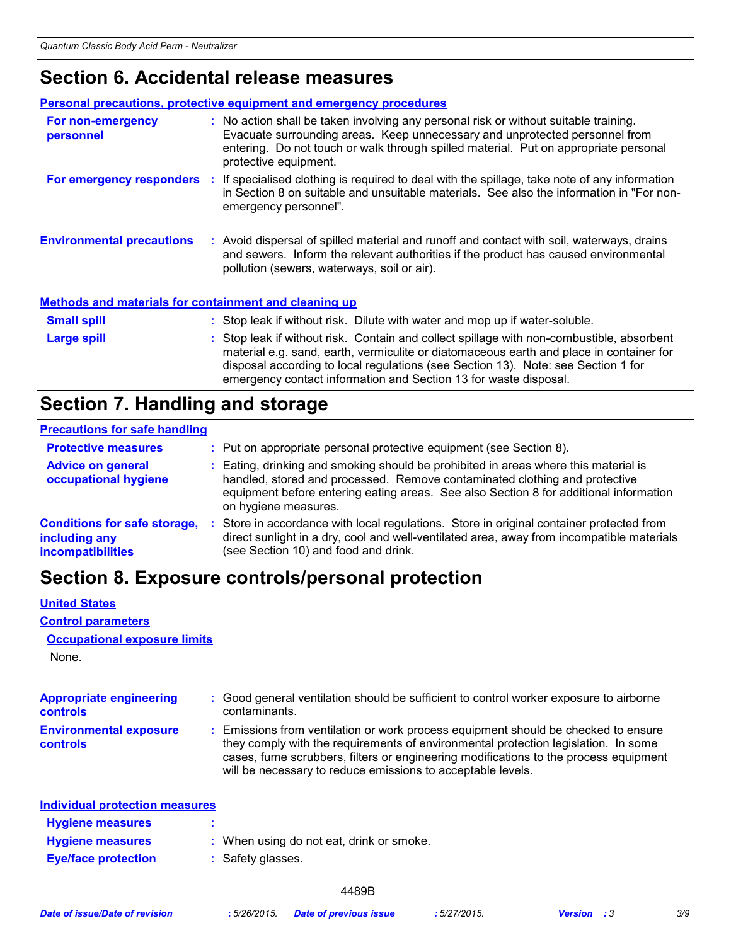### **Section 6. Accidental release measures**

|                                                              | <b>Personal precautions, protective equipment and emergency procedures</b>                                                                                                                                                                                                                                                                    |
|--------------------------------------------------------------|-----------------------------------------------------------------------------------------------------------------------------------------------------------------------------------------------------------------------------------------------------------------------------------------------------------------------------------------------|
| For non-emergency<br>personnel                               | : No action shall be taken involving any personal risk or without suitable training.<br>Evacuate surrounding areas. Keep unnecessary and unprotected personnel from<br>entering. Do not touch or walk through spilled material. Put on appropriate personal<br>protective equipment.                                                          |
|                                                              | For emergency responders : If specialised clothing is required to deal with the spillage, take note of any information<br>in Section 8 on suitable and unsuitable materials. See also the information in "For non-<br>emergency personnel".                                                                                                   |
| <b>Environmental precautions</b>                             | : Avoid dispersal of spilled material and runoff and contact with soil, waterways, drains<br>and sewers. Inform the relevant authorities if the product has caused environmental<br>pollution (sewers, waterways, soil or air).                                                                                                               |
| <b>Methods and materials for containment and cleaning up</b> |                                                                                                                                                                                                                                                                                                                                               |
| <b>Small spill</b>                                           | : Stop leak if without risk. Dilute with water and mop up if water-soluble.                                                                                                                                                                                                                                                                   |
| <b>Large spill</b>                                           | : Stop leak if without risk. Contain and collect spillage with non-combustible, absorbent<br>material e.g. sand, earth, vermiculite or diatomaceous earth and place in container for<br>disposal according to local regulations (see Section 13). Note: see Section 1 for<br>emergency contact information and Section 13 for waste disposal. |

### **Section 7. Handling and storage**

| <b>Precautions for safe handling</b>                                      |                                                                                                                                                                                                                                                                                    |
|---------------------------------------------------------------------------|------------------------------------------------------------------------------------------------------------------------------------------------------------------------------------------------------------------------------------------------------------------------------------|
| <b>Protective measures</b>                                                | : Put on appropriate personal protective equipment (see Section 8).                                                                                                                                                                                                                |
| <b>Advice on general</b><br>occupational hygiene                          | : Eating, drinking and smoking should be prohibited in areas where this material is<br>handled, stored and processed. Remove contaminated clothing and protective<br>equipment before entering eating areas. See also Section 8 for additional information<br>on hygiene measures. |
| <b>Conditions for safe storage,</b><br>including any<br>incompatibilities | : Store in accordance with local regulations. Store in original container protected from<br>direct sunlight in a dry, cool and well-ventilated area, away from incompatible materials<br>(see Section 10) and food and drink.                                                      |

### **Section 8. Exposure controls/personal protection**

#### **United States**

**Control parameters**

#### **Occupational exposure limits**

None.

| <b>Appropriate engineering</b><br><b>controls</b> | : Good general ventilation should be sufficient to control worker exposure to airborne<br>contaminants.                                                                                                                                                                                                                         |
|---------------------------------------------------|---------------------------------------------------------------------------------------------------------------------------------------------------------------------------------------------------------------------------------------------------------------------------------------------------------------------------------|
| <b>Environmental exposure</b><br><b>controls</b>  | : Emissions from ventilation or work process equipment should be checked to ensure<br>they comply with the requirements of environmental protection legislation. In some<br>cases, fume scrubbers, filters or engineering modifications to the process equipment<br>will be necessary to reduce emissions to acceptable levels. |
| <b>Individual protection measures</b>             |                                                                                                                                                                                                                                                                                                                                 |
| <b>Hygiene measures</b>                           |                                                                                                                                                                                                                                                                                                                                 |
| <b>Hygiene measures</b>                           | : When using do not eat, drink or smoke.                                                                                                                                                                                                                                                                                        |
| <b>Eye/face protection</b>                        | : Safety glasses.                                                                                                                                                                                                                                                                                                               |

| Date of issue/Date of revision | 5/26/2015. | Date of previous issue<br>. | $727/2015$ .<br>3/21/ | rsını | 3/9 |
|--------------------------------|------------|-----------------------------|-----------------------|-------|-----|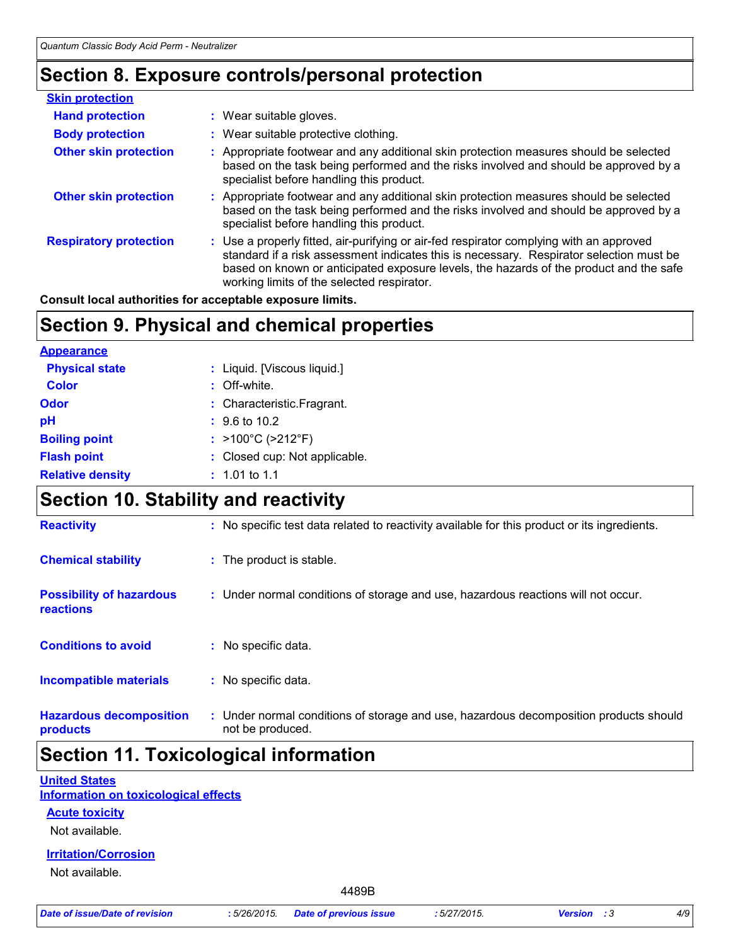### **Section 8. Exposure controls/personal protection**

| <b>Skin protection</b>        |                                                                                                                                                                                                                                                                                                                            |
|-------------------------------|----------------------------------------------------------------------------------------------------------------------------------------------------------------------------------------------------------------------------------------------------------------------------------------------------------------------------|
| <b>Hand protection</b>        | : Wear suitable gloves.                                                                                                                                                                                                                                                                                                    |
| <b>Body protection</b>        | : Wear suitable protective clothing.                                                                                                                                                                                                                                                                                       |
| <b>Other skin protection</b>  | : Appropriate footwear and any additional skin protection measures should be selected<br>based on the task being performed and the risks involved and should be approved by a<br>specialist before handling this product.                                                                                                  |
| <b>Other skin protection</b>  | : Appropriate footwear and any additional skin protection measures should be selected<br>based on the task being performed and the risks involved and should be approved by a<br>specialist before handling this product.                                                                                                  |
| <b>Respiratory protection</b> | : Use a properly fitted, air-purifying or air-fed respirator complying with an approved<br>standard if a risk assessment indicates this is necessary. Respirator selection must be<br>based on known or anticipated exposure levels, the hazards of the product and the safe<br>working limits of the selected respirator. |

**Consult local authorities for acceptable exposure limits.**

### **Section 9. Physical and chemical properties**

| <b>Appearance</b>       |                                        |
|-------------------------|----------------------------------------|
| <b>Physical state</b>   | : Liquid. [Viscous liquid.]            |
| <b>Color</b>            | : Off-white.                           |
| Odor                    | : Characteristic.Fragrant.             |
| рH                      | $\div$ 9.6 to 10.2                     |
| <b>Boiling point</b>    | : $>100^{\circ}$ C ( $>212^{\circ}$ F) |
| <b>Flash point</b>      | : Closed cup: Not applicable.          |
| <b>Relative density</b> | $: 1.01$ to 1.1                        |

### **Section 10. Stability and reactivity**

| <b>Possibility of hazardous</b><br>reactions | : Under normal conditions of storage and use, hazardous reactions will not occur.     |
|----------------------------------------------|---------------------------------------------------------------------------------------|
| <b>Conditions to avoid</b>                   | No specific data.                                                                     |
|                                              |                                                                                       |
| <b>Incompatible materials</b>                | : No specific data.                                                                   |
|                                              | : Under normal conditions of storage and use, hazardous decomposition products should |

### **Section 11. Toxicological information**

#### **United States**

**Information on toxicological effects**

**Acute toxicity**

Not available.

### **Irritation/Corrosion**

Not available.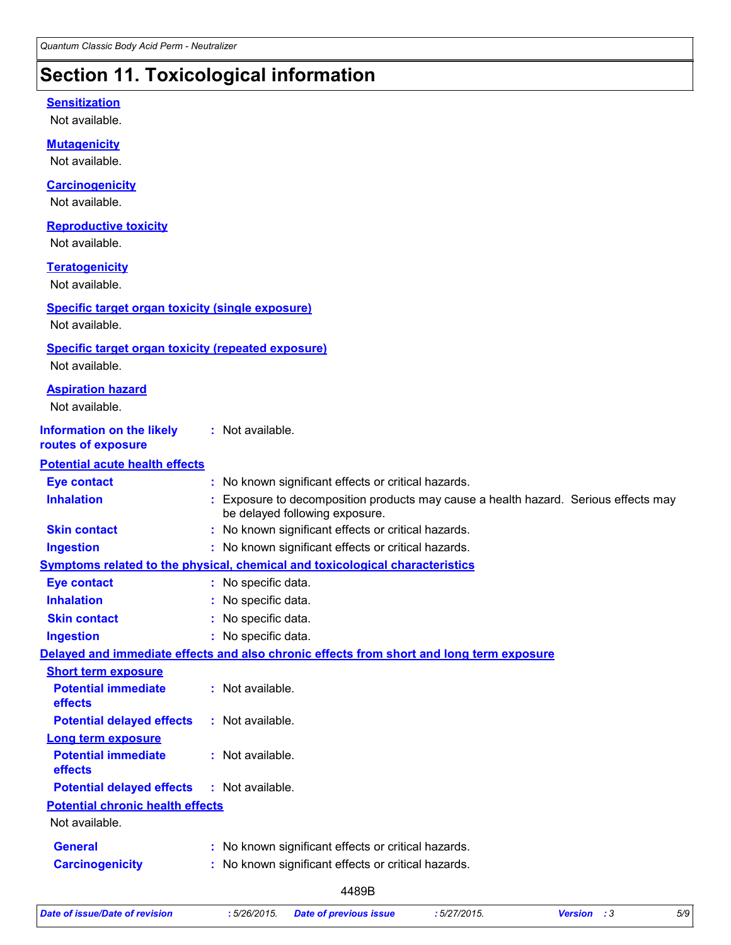### **Section 11. Toxicological information**

#### **Sensitization**

Not available.

Not available. **Carcinogenicity** Not available. **Mutagenicity** Not available. **Teratogenicity** Not available. **Reproductive toxicity** Not available. **Information on the likely routes of exposure Inhalation <b>inclust in the CO** Exposure to decomposition products may cause a health hazard. Serious effects may be delayed following exposure. **Ingestion :** No known significant effects or critical hazards. **Skin contact :** No known significant effects or critical hazards. **Eye contact :** No known significant effects or critical hazards. **General :** No known significant effects or critical hazards. **Carcinogenicity :** No known significant effects or critical hazards. **Symptoms related to the physical, chemical and toxicological characteristics Skin contact Ingestion Inhalation :** No specific data. No specific data. **:** No specific data. **: Eye contact :** No specific data. **Potential chronic health effects Delayed and immediate effects and also chronic effects from short and long term exposure Specific target organ toxicity (single exposure) Specific target organ toxicity (repeated exposure)** Not available. Not available. **Aspiration hazard** Not available. **:** Not available. **Potential acute health effects Potential immediate effects :** Not available. **Short term exposure Potential delayed effects :** Not available. **Potential immediate effects :** Not available. **Long term exposure Potential delayed effects :** Not available.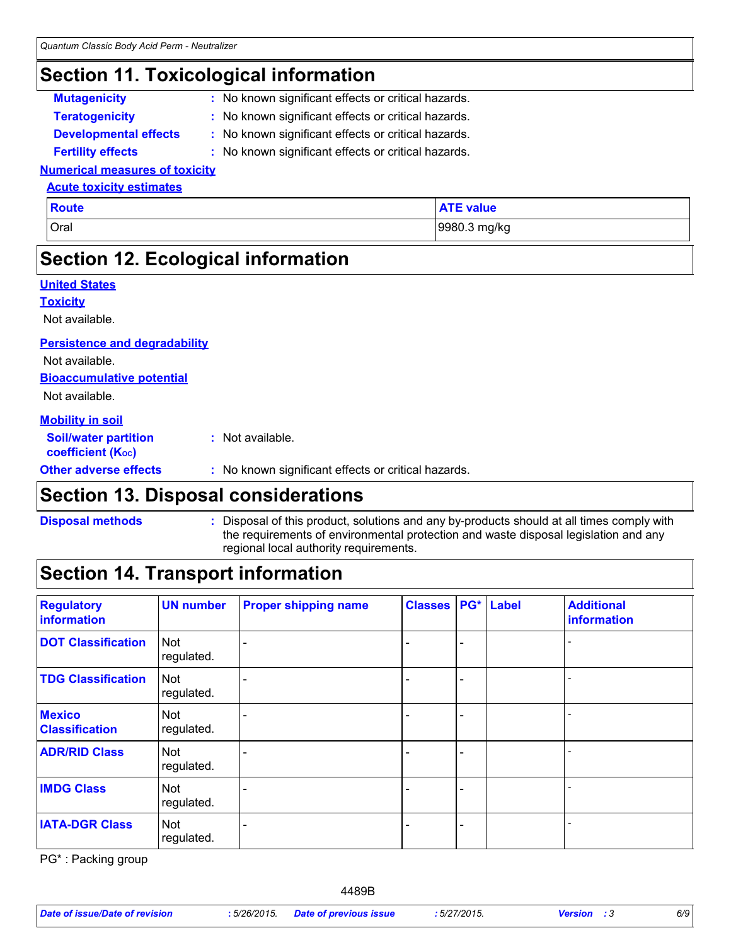### **Section 11. Toxicological information**

- **Mutagenicity :** No known significant effects or critical hazards.
- **Teratogenicity :** No known significant effects or critical hazards.
- 
- **Developmental effects :** No known significant effects or critical hazards.
- **Fertility effects :** No known significant effects or critical hazards.

#### **Numerical measures of toxicity Acute toxicity estimates**

| <b>Route</b> | <b>ATE value</b> |
|--------------|------------------|
| Oral         | 9980.3 mg/kg     |

### **Section 12. Ecological information**

| <b>United States</b>                                    |                                                     |
|---------------------------------------------------------|-----------------------------------------------------|
| <b>Toxicity</b>                                         |                                                     |
| Not available.                                          |                                                     |
| <b>Persistence and degradability</b>                    |                                                     |
| Not available.                                          |                                                     |
| <b>Bioaccumulative potential</b>                        |                                                     |
| Not available.                                          |                                                     |
| <b>Mobility in soil</b>                                 |                                                     |
| <b>Soil/water partition</b><br><b>coefficient (Koc)</b> | : Not available.                                    |
| <b>Other adverse effects</b>                            | : No known significant effects or critical hazards. |

### **Section 13. Disposal considerations**

**Disposal methods :**

#### Disposal of this product, solutions and any by-products should at all times comply with the requirements of environmental protection and waste disposal legislation and any regional local authority requirements.

### **Section 14. Transport information**

| <b>Regulatory</b><br>information       | <b>UN number</b>         | <b>Proper shipping name</b> | <b>Classes PG* Label</b> |  | <b>Additional</b><br>information |
|----------------------------------------|--------------------------|-----------------------------|--------------------------|--|----------------------------------|
| <b>DOT Classification</b>              | <b>Not</b><br>regulated. |                             |                          |  |                                  |
| <b>TDG Classification</b>              | <b>Not</b><br>regulated. |                             |                          |  |                                  |
| <b>Mexico</b><br><b>Classification</b> | <b>Not</b><br>regulated. |                             |                          |  |                                  |
| <b>ADR/RID Class</b>                   | <b>Not</b><br>regulated. |                             |                          |  |                                  |
| <b>IMDG Class</b>                      | <b>Not</b><br>regulated. |                             |                          |  |                                  |
| <b>IATA-DGR Class</b>                  | <b>Not</b><br>regulated. |                             |                          |  |                                  |

PG\* : Packing group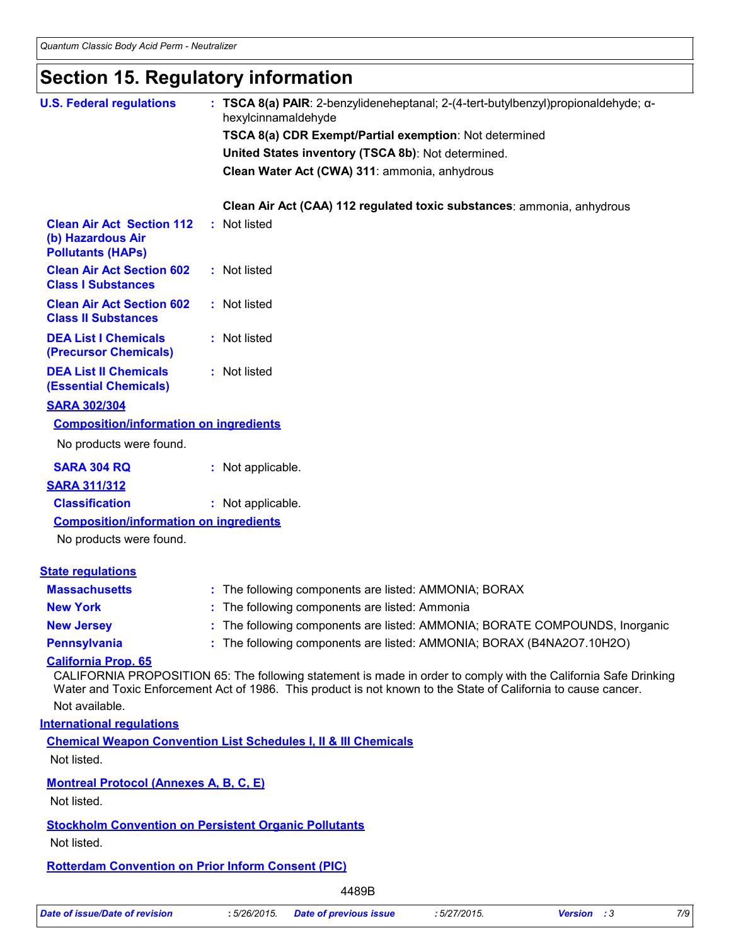### **Section 15. Regulatory information**

| TSCA 8(a) CDR Exempt/Partial exemption: Not determined<br>United States inventory (TSCA 8b): Not determined.<br>Clean Water Act (CWA) 311: ammonia, anhydrous<br>Clean Air Act (CAA) 112 regulated toxic substances: ammonia, anhydrous<br><b>Clean Air Act Section 112</b><br>: Not listed<br>(b) Hazardous Air<br><b>Pollutants (HAPs)</b><br><b>Clean Air Act Section 602</b><br>: Not listed<br><b>Class I Substances</b><br><b>Clean Air Act Section 602</b><br>: Not listed<br><b>Class II Substances</b><br><b>DEA List I Chemicals</b><br>: Not listed<br>(Precursor Chemicals)<br><b>DEA List II Chemicals</b><br>: Not listed<br><b>(Essential Chemicals)</b><br><b>SARA 302/304</b><br><b>Composition/information on ingredients</b><br>No products were found.<br><b>SARA 304 RQ</b><br>: Not applicable.<br><b>SARA 311/312</b><br><b>Classification</b><br>: Not applicable.<br><b>Composition/information on ingredients</b><br>No products were found.<br><b>State requlations</b><br><b>Massachusetts</b><br>: The following components are listed: AMMONIA; BORAX<br>: The following components are listed: Ammonia<br><b>New York</b><br>The following components are listed: AMMONIA; BORATE COMPOUNDS, Inorganic<br><b>New Jersey</b><br>: The following components are listed: AMMONIA; BORAX (B4NA2O7.10H2O)<br><b>Pennsylvania</b><br><b>California Prop. 65</b><br>CALIFORNIA PROPOSITION 65: The following statement is made in order to comply with the California Safe Drinking<br>Water and Toxic Enforcement Act of 1986. This product is not known to the State of California to cause cancer.<br>Not available.<br><b>International requlations</b><br><b>Chemical Weapon Convention List Schedules I, II &amp; III Chemicals</b><br>Not listed.<br><b>Montreal Protocol (Annexes A, B, C, E)</b><br>Not listed. | <b>U.S. Federal regulations</b> | hexylcinnamaldehyde | : TSCA 8(a) PAIR: 2-benzylideneheptanal; 2-(4-tert-butylbenzyl)propionaldehyde; $\alpha$ - |  |  |
|--------------------------------------------------------------------------------------------------------------------------------------------------------------------------------------------------------------------------------------------------------------------------------------------------------------------------------------------------------------------------------------------------------------------------------------------------------------------------------------------------------------------------------------------------------------------------------------------------------------------------------------------------------------------------------------------------------------------------------------------------------------------------------------------------------------------------------------------------------------------------------------------------------------------------------------------------------------------------------------------------------------------------------------------------------------------------------------------------------------------------------------------------------------------------------------------------------------------------------------------------------------------------------------------------------------------------------------------------------------------------------------------------------------------------------------------------------------------------------------------------------------------------------------------------------------------------------------------------------------------------------------------------------------------------------------------------------------------------------------------------------------------------------------------------------------------------------------------------|---------------------------------|---------------------|--------------------------------------------------------------------------------------------|--|--|
|                                                                                                                                                                                                                                                                                                                                                                                                                                                                                                                                                                                                                                                                                                                                                                                                                                                                                                                                                                                                                                                                                                                                                                                                                                                                                                                                                                                                                                                                                                                                                                                                                                                                                                                                                                                                                                                  |                                 |                     |                                                                                            |  |  |
|                                                                                                                                                                                                                                                                                                                                                                                                                                                                                                                                                                                                                                                                                                                                                                                                                                                                                                                                                                                                                                                                                                                                                                                                                                                                                                                                                                                                                                                                                                                                                                                                                                                                                                                                                                                                                                                  |                                 |                     |                                                                                            |  |  |
|                                                                                                                                                                                                                                                                                                                                                                                                                                                                                                                                                                                                                                                                                                                                                                                                                                                                                                                                                                                                                                                                                                                                                                                                                                                                                                                                                                                                                                                                                                                                                                                                                                                                                                                                                                                                                                                  |                                 |                     |                                                                                            |  |  |
|                                                                                                                                                                                                                                                                                                                                                                                                                                                                                                                                                                                                                                                                                                                                                                                                                                                                                                                                                                                                                                                                                                                                                                                                                                                                                                                                                                                                                                                                                                                                                                                                                                                                                                                                                                                                                                                  |                                 |                     |                                                                                            |  |  |
|                                                                                                                                                                                                                                                                                                                                                                                                                                                                                                                                                                                                                                                                                                                                                                                                                                                                                                                                                                                                                                                                                                                                                                                                                                                                                                                                                                                                                                                                                                                                                                                                                                                                                                                                                                                                                                                  |                                 |                     |                                                                                            |  |  |
|                                                                                                                                                                                                                                                                                                                                                                                                                                                                                                                                                                                                                                                                                                                                                                                                                                                                                                                                                                                                                                                                                                                                                                                                                                                                                                                                                                                                                                                                                                                                                                                                                                                                                                                                                                                                                                                  |                                 |                     |                                                                                            |  |  |
|                                                                                                                                                                                                                                                                                                                                                                                                                                                                                                                                                                                                                                                                                                                                                                                                                                                                                                                                                                                                                                                                                                                                                                                                                                                                                                                                                                                                                                                                                                                                                                                                                                                                                                                                                                                                                                                  |                                 |                     |                                                                                            |  |  |
|                                                                                                                                                                                                                                                                                                                                                                                                                                                                                                                                                                                                                                                                                                                                                                                                                                                                                                                                                                                                                                                                                                                                                                                                                                                                                                                                                                                                                                                                                                                                                                                                                                                                                                                                                                                                                                                  |                                 |                     |                                                                                            |  |  |
|                                                                                                                                                                                                                                                                                                                                                                                                                                                                                                                                                                                                                                                                                                                                                                                                                                                                                                                                                                                                                                                                                                                                                                                                                                                                                                                                                                                                                                                                                                                                                                                                                                                                                                                                                                                                                                                  |                                 |                     |                                                                                            |  |  |
|                                                                                                                                                                                                                                                                                                                                                                                                                                                                                                                                                                                                                                                                                                                                                                                                                                                                                                                                                                                                                                                                                                                                                                                                                                                                                                                                                                                                                                                                                                                                                                                                                                                                                                                                                                                                                                                  |                                 |                     |                                                                                            |  |  |
|                                                                                                                                                                                                                                                                                                                                                                                                                                                                                                                                                                                                                                                                                                                                                                                                                                                                                                                                                                                                                                                                                                                                                                                                                                                                                                                                                                                                                                                                                                                                                                                                                                                                                                                                                                                                                                                  |                                 |                     |                                                                                            |  |  |
|                                                                                                                                                                                                                                                                                                                                                                                                                                                                                                                                                                                                                                                                                                                                                                                                                                                                                                                                                                                                                                                                                                                                                                                                                                                                                                                                                                                                                                                                                                                                                                                                                                                                                                                                                                                                                                                  |                                 |                     |                                                                                            |  |  |
|                                                                                                                                                                                                                                                                                                                                                                                                                                                                                                                                                                                                                                                                                                                                                                                                                                                                                                                                                                                                                                                                                                                                                                                                                                                                                                                                                                                                                                                                                                                                                                                                                                                                                                                                                                                                                                                  |                                 |                     |                                                                                            |  |  |
|                                                                                                                                                                                                                                                                                                                                                                                                                                                                                                                                                                                                                                                                                                                                                                                                                                                                                                                                                                                                                                                                                                                                                                                                                                                                                                                                                                                                                                                                                                                                                                                                                                                                                                                                                                                                                                                  |                                 |                     |                                                                                            |  |  |
|                                                                                                                                                                                                                                                                                                                                                                                                                                                                                                                                                                                                                                                                                                                                                                                                                                                                                                                                                                                                                                                                                                                                                                                                                                                                                                                                                                                                                                                                                                                                                                                                                                                                                                                                                                                                                                                  |                                 |                     |                                                                                            |  |  |
|                                                                                                                                                                                                                                                                                                                                                                                                                                                                                                                                                                                                                                                                                                                                                                                                                                                                                                                                                                                                                                                                                                                                                                                                                                                                                                                                                                                                                                                                                                                                                                                                                                                                                                                                                                                                                                                  |                                 |                     |                                                                                            |  |  |
|                                                                                                                                                                                                                                                                                                                                                                                                                                                                                                                                                                                                                                                                                                                                                                                                                                                                                                                                                                                                                                                                                                                                                                                                                                                                                                                                                                                                                                                                                                                                                                                                                                                                                                                                                                                                                                                  |                                 |                     |                                                                                            |  |  |
|                                                                                                                                                                                                                                                                                                                                                                                                                                                                                                                                                                                                                                                                                                                                                                                                                                                                                                                                                                                                                                                                                                                                                                                                                                                                                                                                                                                                                                                                                                                                                                                                                                                                                                                                                                                                                                                  |                                 |                     |                                                                                            |  |  |
|                                                                                                                                                                                                                                                                                                                                                                                                                                                                                                                                                                                                                                                                                                                                                                                                                                                                                                                                                                                                                                                                                                                                                                                                                                                                                                                                                                                                                                                                                                                                                                                                                                                                                                                                                                                                                                                  |                                 |                     |                                                                                            |  |  |
|                                                                                                                                                                                                                                                                                                                                                                                                                                                                                                                                                                                                                                                                                                                                                                                                                                                                                                                                                                                                                                                                                                                                                                                                                                                                                                                                                                                                                                                                                                                                                                                                                                                                                                                                                                                                                                                  |                                 |                     |                                                                                            |  |  |
|                                                                                                                                                                                                                                                                                                                                                                                                                                                                                                                                                                                                                                                                                                                                                                                                                                                                                                                                                                                                                                                                                                                                                                                                                                                                                                                                                                                                                                                                                                                                                                                                                                                                                                                                                                                                                                                  |                                 |                     |                                                                                            |  |  |
|                                                                                                                                                                                                                                                                                                                                                                                                                                                                                                                                                                                                                                                                                                                                                                                                                                                                                                                                                                                                                                                                                                                                                                                                                                                                                                                                                                                                                                                                                                                                                                                                                                                                                                                                                                                                                                                  |                                 |                     |                                                                                            |  |  |
|                                                                                                                                                                                                                                                                                                                                                                                                                                                                                                                                                                                                                                                                                                                                                                                                                                                                                                                                                                                                                                                                                                                                                                                                                                                                                                                                                                                                                                                                                                                                                                                                                                                                                                                                                                                                                                                  |                                 |                     |                                                                                            |  |  |
|                                                                                                                                                                                                                                                                                                                                                                                                                                                                                                                                                                                                                                                                                                                                                                                                                                                                                                                                                                                                                                                                                                                                                                                                                                                                                                                                                                                                                                                                                                                                                                                                                                                                                                                                                                                                                                                  |                                 |                     |                                                                                            |  |  |
|                                                                                                                                                                                                                                                                                                                                                                                                                                                                                                                                                                                                                                                                                                                                                                                                                                                                                                                                                                                                                                                                                                                                                                                                                                                                                                                                                                                                                                                                                                                                                                                                                                                                                                                                                                                                                                                  |                                 |                     |                                                                                            |  |  |
|                                                                                                                                                                                                                                                                                                                                                                                                                                                                                                                                                                                                                                                                                                                                                                                                                                                                                                                                                                                                                                                                                                                                                                                                                                                                                                                                                                                                                                                                                                                                                                                                                                                                                                                                                                                                                                                  |                                 |                     |                                                                                            |  |  |
|                                                                                                                                                                                                                                                                                                                                                                                                                                                                                                                                                                                                                                                                                                                                                                                                                                                                                                                                                                                                                                                                                                                                                                                                                                                                                                                                                                                                                                                                                                                                                                                                                                                                                                                                                                                                                                                  |                                 |                     |                                                                                            |  |  |
|                                                                                                                                                                                                                                                                                                                                                                                                                                                                                                                                                                                                                                                                                                                                                                                                                                                                                                                                                                                                                                                                                                                                                                                                                                                                                                                                                                                                                                                                                                                                                                                                                                                                                                                                                                                                                                                  |                                 |                     |                                                                                            |  |  |
|                                                                                                                                                                                                                                                                                                                                                                                                                                                                                                                                                                                                                                                                                                                                                                                                                                                                                                                                                                                                                                                                                                                                                                                                                                                                                                                                                                                                                                                                                                                                                                                                                                                                                                                                                                                                                                                  |                                 |                     |                                                                                            |  |  |
| <b>Stockholm Convention on Persistent Organic Pollutants</b><br>Not listed.                                                                                                                                                                                                                                                                                                                                                                                                                                                                                                                                                                                                                                                                                                                                                                                                                                                                                                                                                                                                                                                                                                                                                                                                                                                                                                                                                                                                                                                                                                                                                                                                                                                                                                                                                                      |                                 |                     |                                                                                            |  |  |
| <b>Rotterdam Convention on Prior Inform Consent (PIC)</b>                                                                                                                                                                                                                                                                                                                                                                                                                                                                                                                                                                                                                                                                                                                                                                                                                                                                                                                                                                                                                                                                                                                                                                                                                                                                                                                                                                                                                                                                                                                                                                                                                                                                                                                                                                                        |                                 |                     |                                                                                            |  |  |
| 4489B                                                                                                                                                                                                                                                                                                                                                                                                                                                                                                                                                                                                                                                                                                                                                                                                                                                                                                                                                                                                                                                                                                                                                                                                                                                                                                                                                                                                                                                                                                                                                                                                                                                                                                                                                                                                                                            |                                 |                     |                                                                                            |  |  |
| <b>Date of issue/Date of revision</b><br><b>Date of previous issue</b><br>7/9<br>:5/26/2015.<br>:5/27/2015.<br>Version : 3                                                                                                                                                                                                                                                                                                                                                                                                                                                                                                                                                                                                                                                                                                                                                                                                                                                                                                                                                                                                                                                                                                                                                                                                                                                                                                                                                                                                                                                                                                                                                                                                                                                                                                                       |                                 |                     |                                                                                            |  |  |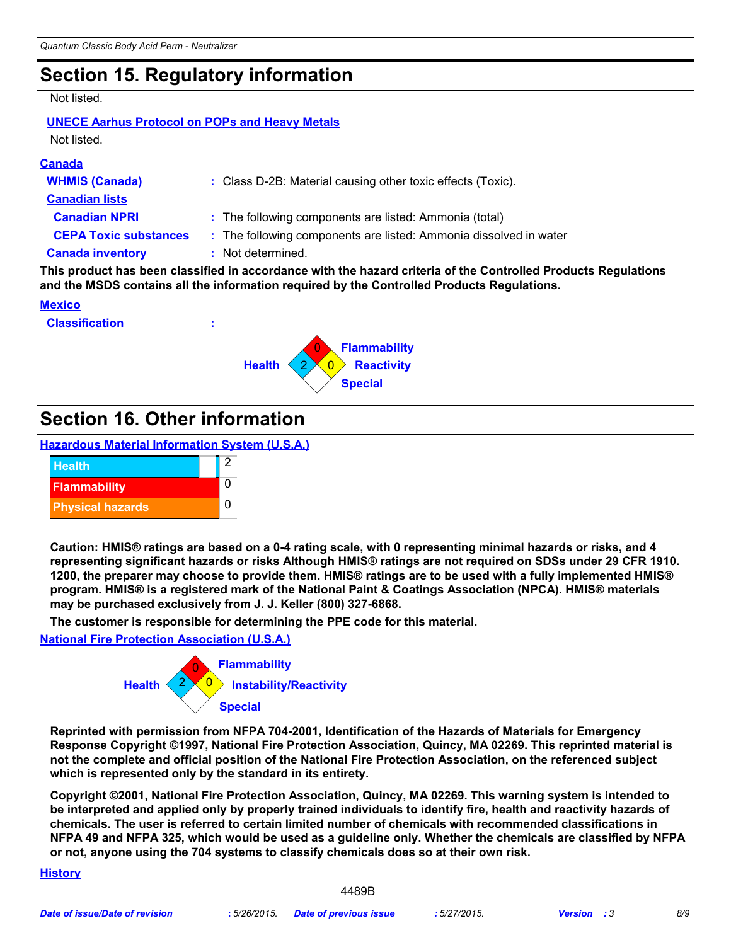### **Section 15. Regulatory information**

#### Not listed.

#### **UNECE Aarhus Protocol on POPs and Heavy Metals** Not listed.

#### **Canada**

| : Class D-2B: Material causing other toxic effects (Toxic).       |
|-------------------------------------------------------------------|
|                                                                   |
| : The following components are listed: Ammonia (total)            |
| : The following components are listed: Ammonia dissolved in water |
| : Not determined.                                                 |
|                                                                   |

**This product has been classified in accordance with the hazard criteria of the Controlled Products Regulations and the MSDS contains all the information required by the Controlled Products Regulations.**

#### **Mexico**





### **Section 16. Other information**

**Hazardous Material Information System (U.S.A.)**



**Caution: HMIS® ratings are based on a 0-4 rating scale, with 0 representing minimal hazards or risks, and 4 representing significant hazards or risks Although HMIS® ratings are not required on SDSs under 29 CFR 1910. 1200, the preparer may choose to provide them. HMIS® ratings are to be used with a fully implemented HMIS® program. HMIS® is a registered mark of the National Paint & Coatings Association (NPCA). HMIS® materials may be purchased exclusively from J. J. Keller (800) 327-6868.**

**The customer is responsible for determining the PPE code for this material.**

#### **National Fire Protection Association (U.S.A.)**



**Reprinted with permission from NFPA 704-2001, Identification of the Hazards of Materials for Emergency Response Copyright ©1997, National Fire Protection Association, Quincy, MA 02269. This reprinted material is not the complete and official position of the National Fire Protection Association, on the referenced subject which is represented only by the standard in its entirety.**

**Copyright ©2001, National Fire Protection Association, Quincy, MA 02269. This warning system is intended to be interpreted and applied only by properly trained individuals to identify fire, health and reactivity hazards of chemicals. The user is referred to certain limited number of chemicals with recommended classifications in NFPA 49 and NFPA 325, which would be used as a guideline only. Whether the chemicals are classified by NFPA or not, anyone using the 704 systems to classify chemicals does so at their own risk.**

#### **History**

|                                | 4489B                               |             |                    |     |
|--------------------------------|-------------------------------------|-------------|--------------------|-----|
| Date of issue/Date of revision | : 5/26/2015. Date of previous issue | :5/27/2015. | <b>Version</b> : 3 | 8/9 |